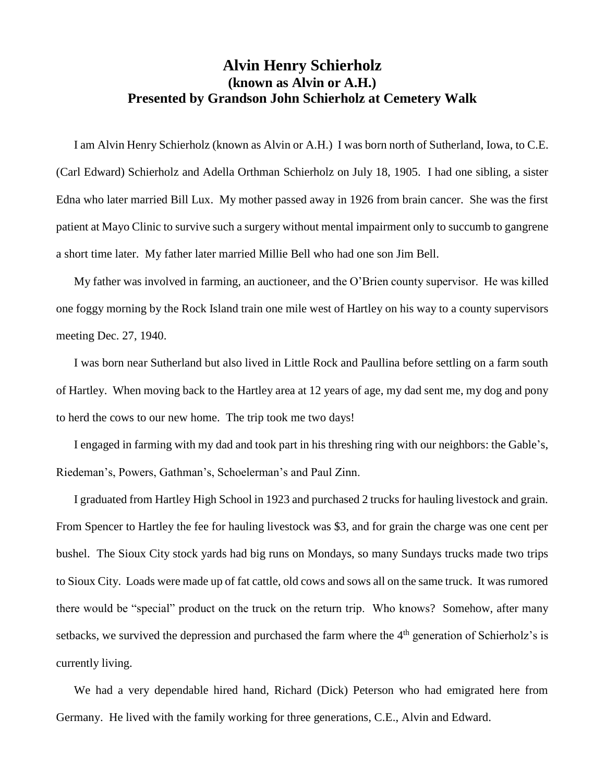## **Alvin Henry Schierholz (known as Alvin or A.H.) Presented by Grandson John Schierholz at Cemetery Walk**

I am Alvin Henry Schierholz (known as Alvin or A.H.) I was born north of Sutherland, Iowa, to C.E. (Carl Edward) Schierholz and Adella Orthman Schierholz on July 18, 1905. I had one sibling, a sister Edna who later married Bill Lux. My mother passed away in 1926 from brain cancer. She was the first patient at Mayo Clinic to survive such a surgery without mental impairment only to succumb to gangrene a short time later. My father later married Millie Bell who had one son Jim Bell.

My father was involved in farming, an auctioneer, and the O'Brien county supervisor. He was killed one foggy morning by the Rock Island train one mile west of Hartley on his way to a county supervisors meeting Dec. 27, 1940.

I was born near Sutherland but also lived in Little Rock and Paullina before settling on a farm south of Hartley. When moving back to the Hartley area at 12 years of age, my dad sent me, my dog and pony to herd the cows to our new home. The trip took me two days!

I engaged in farming with my dad and took part in his threshing ring with our neighbors: the Gable's, Riedeman's, Powers, Gathman's, Schoelerman's and Paul Zinn.

I graduated from Hartley High School in 1923 and purchased 2 trucks for hauling livestock and grain. From Spencer to Hartley the fee for hauling livestock was \$3, and for grain the charge was one cent per bushel. The Sioux City stock yards had big runs on Mondays, so many Sundays trucks made two trips to Sioux City. Loads were made up of fat cattle, old cows and sows all on the same truck. It was rumored there would be "special" product on the truck on the return trip. Who knows? Somehow, after many setbacks, we survived the depression and purchased the farm where the  $4<sup>th</sup>$  generation of Schierholz's is currently living.

We had a very dependable hired hand, Richard (Dick) Peterson who had emigrated here from Germany. He lived with the family working for three generations, C.E., Alvin and Edward.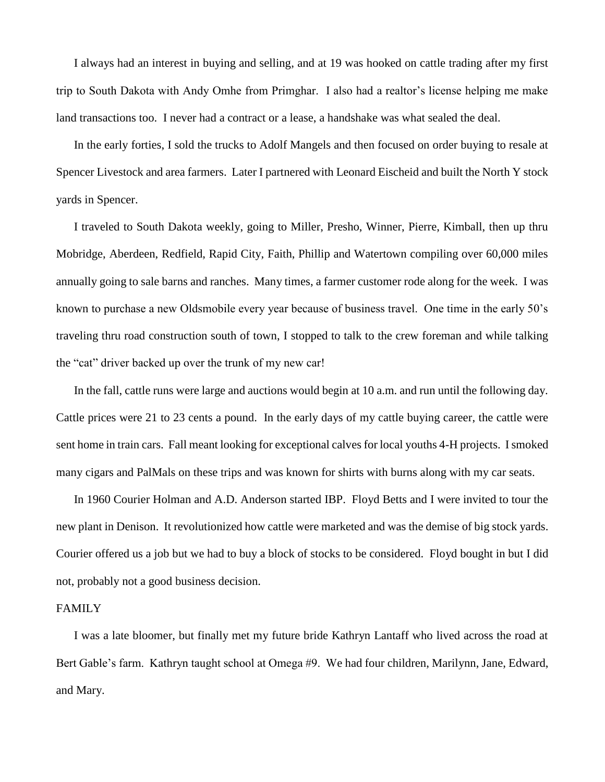I always had an interest in buying and selling, and at 19 was hooked on cattle trading after my first trip to South Dakota with Andy Omhe from Primghar. I also had a realtor's license helping me make land transactions too. I never had a contract or a lease, a handshake was what sealed the deal.

In the early forties, I sold the trucks to Adolf Mangels and then focused on order buying to resale at Spencer Livestock and area farmers. Later I partnered with Leonard Eischeid and built the North Y stock yards in Spencer.

I traveled to South Dakota weekly, going to Miller, Presho, Winner, Pierre, Kimball, then up thru Mobridge, Aberdeen, Redfield, Rapid City, Faith, Phillip and Watertown compiling over 60,000 miles annually going to sale barns and ranches. Many times, a farmer customer rode along for the week. I was known to purchase a new Oldsmobile every year because of business travel. One time in the early 50's traveling thru road construction south of town, I stopped to talk to the crew foreman and while talking the "cat" driver backed up over the trunk of my new car!

In the fall, cattle runs were large and auctions would begin at 10 a.m. and run until the following day. Cattle prices were 21 to 23 cents a pound. In the early days of my cattle buying career, the cattle were sent home in train cars. Fall meant looking for exceptional calves for local youths 4-H projects. I smoked many cigars and PalMals on these trips and was known for shirts with burns along with my car seats.

In 1960 Courier Holman and A.D. Anderson started IBP. Floyd Betts and I were invited to tour the new plant in Denison. It revolutionized how cattle were marketed and was the demise of big stock yards. Courier offered us a job but we had to buy a block of stocks to be considered. Floyd bought in but I did not, probably not a good business decision.

## FAMILY

I was a late bloomer, but finally met my future bride Kathryn Lantaff who lived across the road at Bert Gable's farm. Kathryn taught school at Omega #9. We had four children, Marilynn, Jane, Edward, and Mary.